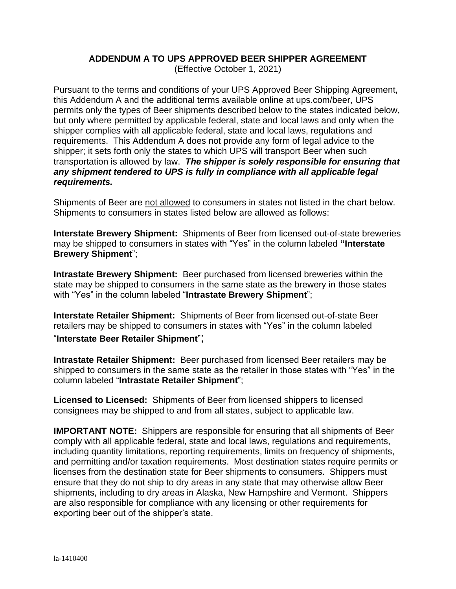## **ADDENDUM A TO UPS APPROVED BEER SHIPPER AGREEMENT**

(Effective October 1, 2021)

Pursuant to the terms and conditions of your UPS Approved Beer Shipping Agreement, this Addendum A and the additional terms available online at ups.com/beer, UPS permits only the types of Beer shipments described below to the states indicated below, but only where permitted by applicable federal, state and local laws and only when the shipper complies with all applicable federal, state and local laws, regulations and requirements. This Addendum A does not provide any form of legal advice to the shipper; it sets forth only the states to which UPS will transport Beer when such transportation is allowed by law. *The shipper is solely responsible for ensuring that any shipment tendered to UPS is fully in compliance with all applicable legal requirements.*

Shipments of Beer are not allowed to consumers in states not listed in the chart below. Shipments to consumers in states listed below are allowed as follows:

**Interstate Brewery Shipment:** Shipments of Beer from licensed out-of-state breweries may be shipped to consumers in states with "Yes" in the column labeled **"Interstate Brewery Shipment**";

**Intrastate Brewery Shipment:** Beer purchased from licensed breweries within the state may be shipped to consumers in the same state as the brewery in those states with "Yes" in the column labeled "**Intrastate Brewery Shipment**";

**Interstate Retailer Shipment:** Shipments of Beer from licensed out-of-state Beer retailers may be shipped to consumers in states with "Yes" in the column labeled "**Interstate Beer Retailer Shipment**";

**Intrastate Retailer Shipment:** Beer purchased from licensed Beer retailers may be shipped to consumers in the same state as the retailer in those states with "Yes" in the column labeled "**Intrastate Retailer Shipment**";

**Licensed to Licensed:** Shipments of Beer from licensed shippers to licensed consignees may be shipped to and from all states, subject to applicable law.

**IMPORTANT NOTE:** Shippers are responsible for ensuring that all shipments of Beer comply with all applicable federal, state and local laws, regulations and requirements, including quantity limitations, reporting requirements, limits on frequency of shipments, and permitting and/or taxation requirements. Most destination states require permits or licenses from the destination state for Beer shipments to consumers. Shippers must ensure that they do not ship to dry areas in any state that may otherwise allow Beer shipments, including to dry areas in Alaska, New Hampshire and Vermont. Shippers are also responsible for compliance with any licensing or other requirements for exporting beer out of the shipper's state.